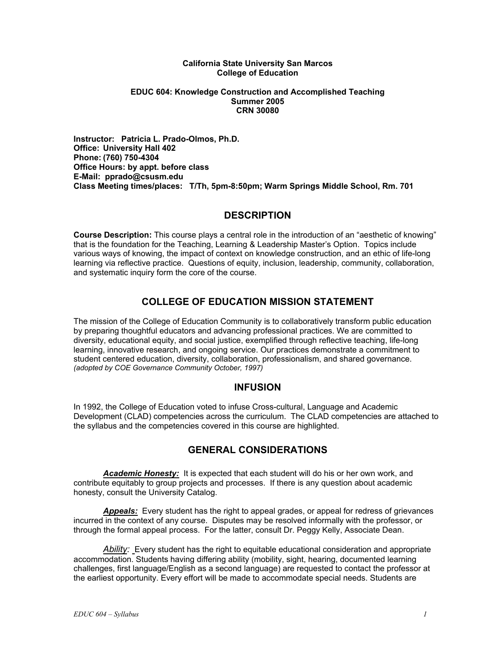#### **California State University San Marcos College of Education**

#### **EDUC 604: Knowledge Construction and Accomplished Teaching Summer 2005 CRN 30080**

**Instructor: Patricia L. Prado-Olmos, Ph.D. Office: University Hall 402 Phone: (760) 750-4304 Office Hours: by appt. before class E-Mail: pprado@csusm.edu Class Meeting times/places: T/Th, 5pm-8:50pm; Warm Springs Middle School, Rm. 701** 

## **DESCRIPTION**

**Course Description:** This course plays a central role in the introduction of an "aesthetic of knowing" that is the foundation for the Teaching, Learning & Leadership Master's Option. Topics include various ways of knowing, the impact of context on knowledge construction, and an ethic of life-long learning via reflective practice. Questions of equity, inclusion, leadership, community, collaboration, and systematic inquiry form the core of the course.

# **COLLEGE OF EDUCATION MISSION STATEMENT**

The mission of the College of Education Community is to collaboratively transform public education by preparing thoughtful educators and advancing professional practices. We are committed to diversity, educational equity, and social justice, exemplified through reflective teaching, life-long learning, innovative research, and ongoing service. Our practices demonstrate a commitment to student centered education, diversity, collaboration, professionalism, and shared governance. *(adopted by COE Governance Community October, 1997)* 

## **INFUSION**

In 1992, the College of Education voted to infuse Cross-cultural, Language and Academic Development (CLAD) competencies across the curriculum. The CLAD competencies are attached to the syllabus and the competencies covered in this course are highlighted.

# **GENERAL CONSIDERATIONS**

*Academic Honesty:* It is expected that each student will do his or her own work, and contribute equitably to group projects and processes. If there is any question about academic honesty, consult the University Catalog.

*Appeals:* Every student has the right to appeal grades, or appeal for redress of grievances incurred in the context of any course. Disputes may be resolved informally with the professor, or through the formal appeal process. For the latter, consult Dr. Peggy Kelly, Associate Dean.

*Ability:* Every student has the right to equitable educational consideration and appropriate accommodation. Students having differing ability (mobility, sight, hearing, documented learning challenges, first language/English as a second language) are requested to contact the professor at the earliest opportunity. Every effort will be made to accommodate special needs. Students are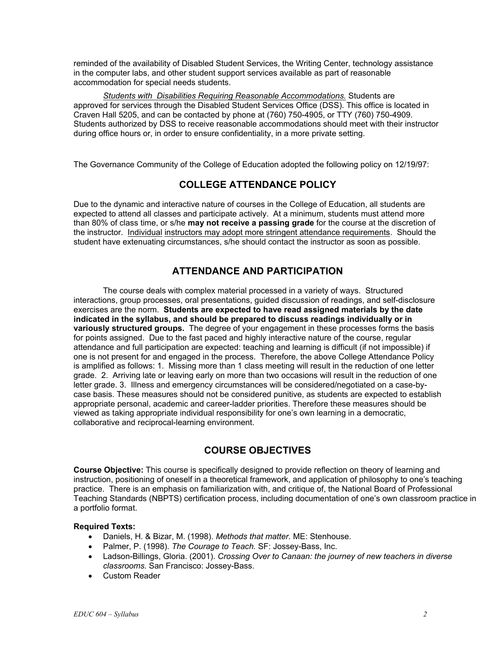reminded of the availability of Disabled Student Services, the Writing Center, technology assistance in the computer labs, and other student support services available as part of reasonable accommodation for special needs students.

*Students with Disabilities Requiring Reasonable Accommodations.* Students are approved for services through the Disabled Student Services Office (DSS). This office is located in Craven Hall 5205, and can be contacted by phone at (760) 750-4905, or TTY (760) 750-4909. Students authorized by DSS to receive reasonable accommodations should meet with their instructor during office hours or, in order to ensure confidentiality, in a more private setting.

The Governance Community of the College of Education adopted the following policy on 12/19/97:

# **COLLEGE ATTENDANCE POLICY**

Due to the dynamic and interactive nature of courses in the College of Education, all students are expected to attend all classes and participate actively. At a minimum, students must attend more than 80% of class time, or s/he **may not receive a passing grade** for the course at the discretion of the instructor. Individual instructors may adopt more stringent attendance requirements. Should the student have extenuating circumstances, s/he should contact the instructor as soon as possible.

# **ATTENDANCE AND PARTICIPATION**

The course deals with complex material processed in a variety of ways. Structured interactions, group processes, oral presentations, guided discussion of readings, and self-disclosure exercises are the norm. **Students are expected to have read assigned materials by the date indicated in the syllabus, and should be prepared to discuss readings individually or in variously structured groups.** The degree of your engagement in these processes forms the basis for points assigned. Due to the fast paced and highly interactive nature of the course, regular attendance and full participation are expected: teaching and learning is difficult (if not impossible) if one is not present for and engaged in the process. Therefore, the above College Attendance Policy is amplified as follows: 1. Missing more than 1 class meeting will result in the reduction of one letter grade. 2. Arriving late or leaving early on more than two occasions will result in the reduction of one letter grade. 3. Illness and emergency circumstances will be considered/negotiated on a case-bycase basis. These measures should not be considered punitive, as students are expected to establish appropriate personal, academic and career-ladder priorities. Therefore these measures should be viewed as taking appropriate individual responsibility for one's own learning in a democratic, collaborative and reciprocal-learning environment.

# **COURSE OBJECTIVES**

**Course Objective:** This course is specifically designed to provide reflection on theory of learning and instruction, positioning of oneself in a theoretical framework, and application of philosophy to one's teaching practice. There is an emphasis on familiarization with, and critique of, the National Board of Professional Teaching Standards (NBPTS) certification process, including documentation of one's own classroom practice in a portfolio format.

### **Required Texts:**

- Daniels, H. & Bizar, M. (1998). *Methods that matter.* ME: Stenhouse.
- Palmer, P. (1998). *The Courage to Teach.* SF: Jossey-Bass, Inc.
- Ladson-Billings, Gloria. (2001). *Crossing Over to Canaan: the journey of new teachers in diverse classrooms.* San Francisco: Jossey-Bass.
- Custom Reader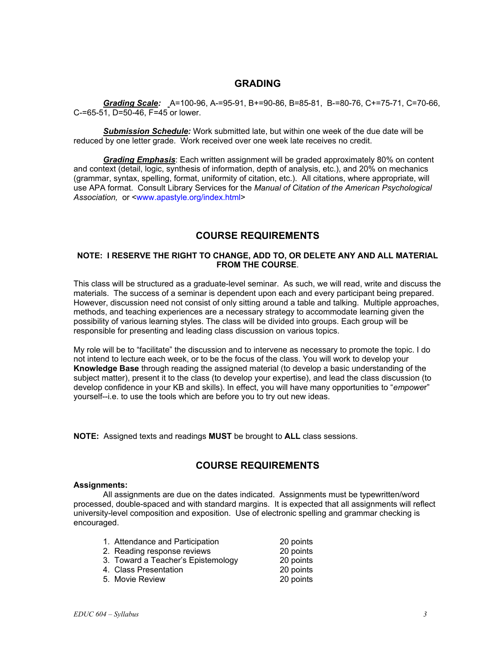### **GRADING**

*Grading Scale:* A=100-96, A-=95-91, B+=90-86, B=85-81, B-=80-76, C+=75-71, C=70-66, C-=65-51, D=50-46, F=45 or lower.

 *Submission Schedule:* Work submitted late, but within one week of the due date will be reduced by one letter grade. Work received over one week late receives no credit.

*Grading Emphasis*: Each written assignment will be graded approximately 80% on content and context (detail, logic, synthesis of information, depth of analysis, etc.), and 20% on mechanics (grammar, syntax, spelling, format, uniformity of citation, etc.). All citations, where appropriate, will use APA format. Consult Library Services for the *Manual of Citation of the American Psychological Association,* or <www.apastyle.org/index.html>

## **COURSE REQUIREMENTS**

#### **NOTE: I RESERVE THE RIGHT TO CHANGE, ADD TO, OR DELETE ANY AND ALL MATERIAL FROM THE COURSE**.

This class will be structured as a graduate-level seminar. As such, we will read, write and discuss the materials. The success of a seminar is dependent upon each and every participant being prepared. However, discussion need not consist of only sitting around a table and talking. Multiple approaches, methods, and teaching experiences are a necessary strategy to accommodate learning given the possibility of various learning styles. The class will be divided into groups. Each group will be responsible for presenting and leading class discussion on various topics.

My role will be to "facilitate" the discussion and to intervene as necessary to promote the topic. I do not intend to lecture each week, or to be the focus of the class. You will work to develop your **Knowledge Base** through reading the assigned material (to develop a basic understanding of the subject matter), present it to the class (to develop your expertise), and lead the class discussion (to develop confidence in your KB and skills). In effect, you will have many opportunities to "*empowe*r" yourself--i.e. to use the tools which are before you to try out new ideas.

**NOTE:** Assigned texts and readings **MUST** be brought to **ALL** class sessions.

## **COURSE REQUIREMENTS**

#### **Assignments:**

 All assignments are due on the dates indicated. Assignments must be typewritten/word processed, double-spaced and with standard margins. It is expected that all assignments will reflect university-level composition and exposition. Use of electronic spelling and grammar checking is encouraged.

| 1. Attendance and Participation    | 20 points |
|------------------------------------|-----------|
| 2. Reading response reviews        | 20 points |
| 3. Toward a Teacher's Epistemology | 20 points |
| 4. Class Presentation              | 20 points |

 <sup>5.</sup> Movie Review 20 points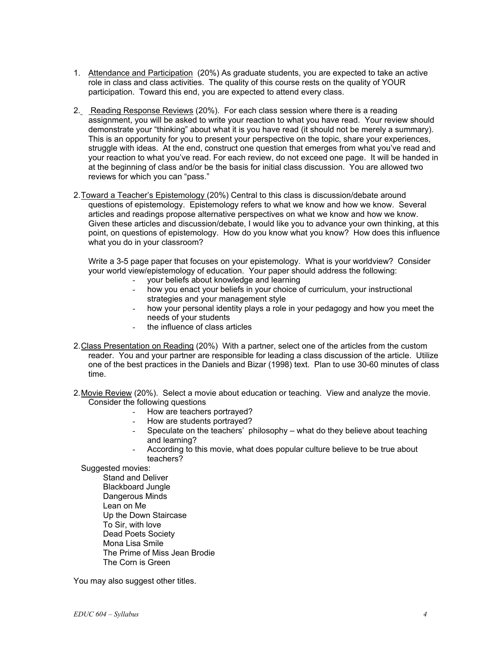- 1. Attendance and Participation (20%) As graduate students, you are expected to take an active role in class and class activities. The quality of this course rests on the quality of YOUR participation. Toward this end, you are expected to attend every class.
- 2. Reading Response Reviews (20%). For each class session where there is a reading assignment, you will be asked to write your reaction to what you have read. Your review should demonstrate your "thinking" about what it is you have read (it should not be merely a summary). This is an opportunity for you to present your perspective on the topic, share your experiences, struggle with ideas. At the end, construct one question that emerges from what you've read and your reaction to what you've read. For each review, do not exceed one page. It will be handed in at the beginning of class and/or be the basis for initial class discussion. You are allowed two reviews for which you can "pass."
- 2. Toward a Teacher's Epistemology (20%) Central to this class is discussion/debate around questions of epistemology. Epistemology refers to what we know and how we know. Several articles and readings propose alternative perspectives on what we know and how we know. Given these articles and discussion/debate, I would like you to advance your own thinking, at this point, on questions of epistemology. How do you know what you know? How does this influence what you do in your classroom?

Write a 3-5 page paper that focuses on your epistemology. What is your worldview? Consider your world view/epistemology of education. Your paper should address the following:

- your beliefs about knowledge and learning<br>- how you enact your beliefs in your choice o
- how you enact your beliefs in your choice of curriculum, your instructional strategies and your management style
- how your personal identity plays a role in your pedagogy and how you meet the needs of your students
- the influence of class articles
- 2. Class Presentation on Reading (20%) With a partner, select one of the articles from the custom reader. You and your partner are responsible for leading a class discussion of the article. Utilize one of the best practices in the Daniels and Bizar (1998) text. Plan to use 30-60 minutes of class time.
- 2. Movie Review (20%). Select a movie about education or teaching. View and analyze the movie. Consider the following questions
	- How are teachers portrayed?
	- How are students portrayed?
	- Speculate on the teachers' philosophy what do they believe about teaching and learning?
	- According to this movie, what does popular culture believe to be true about teachers?

 Stand and Deliver Blackboard Jungle Dangerous Minds Lean on Me Up the Down Staircase To Sir, with love Dead Poets Society Mona Lisa Smile The Prime of Miss Jean Brodie The Corn is Green

You may also suggest other titles.

Suggested movies: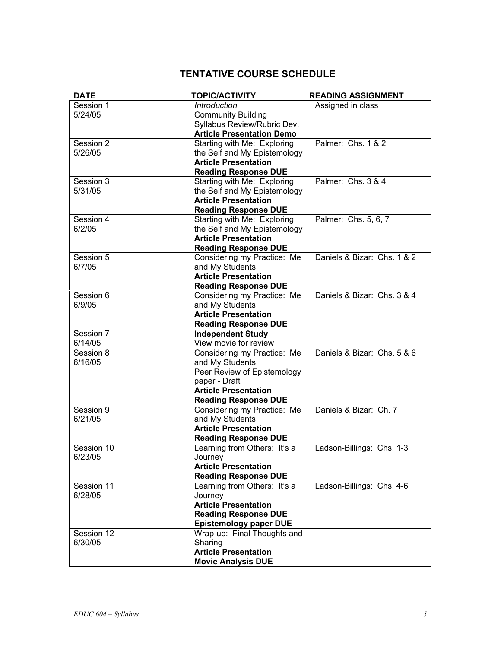# **TENTATIVE COURSE SCHEDULE**

| <b>DATE</b>          | <b>TOPIC/ACTIVITY</b>                                       | <b>READING ASSIGNMENT</b>   |
|----------------------|-------------------------------------------------------------|-----------------------------|
| Session 1            | Introduction                                                | Assigned in class           |
| 5/24/05              | <b>Community Building</b>                                   |                             |
|                      | Syllabus Review/Rubric Dev.                                 |                             |
|                      | <b>Article Presentation Demo</b>                            |                             |
| Session 2<br>5/26/05 | Starting with Me: Exploring                                 | Palmer: Chs. 1 & 2          |
|                      | the Self and My Epistemology<br><b>Article Presentation</b> |                             |
|                      | <b>Reading Response DUE</b>                                 |                             |
| Session 3            | Starting with Me: Exploring                                 | Palmer: Chs. 3 & 4          |
| 5/31/05              | the Self and My Epistemology                                |                             |
|                      | <b>Article Presentation</b>                                 |                             |
|                      | <b>Reading Response DUE</b>                                 |                             |
| Session 4            | Starting with Me: Exploring                                 | Palmer: Chs. 5, 6, 7        |
| 6/2/05               | the Self and My Epistemology                                |                             |
|                      | <b>Article Presentation</b>                                 |                             |
|                      | <b>Reading Response DUE</b>                                 |                             |
| Session 5            | Considering my Practice: Me                                 | Daniels & Bizar: Chs. 1 & 2 |
| 6/7/05               | and My Students                                             |                             |
|                      | <b>Article Presentation</b>                                 |                             |
|                      | <b>Reading Response DUE</b>                                 |                             |
| Session 6            | Considering my Practice: Me                                 | Daniels & Bizar: Chs. 3 & 4 |
| 6/9/05               | and My Students                                             |                             |
|                      | <b>Article Presentation</b>                                 |                             |
|                      | <b>Reading Response DUE</b>                                 |                             |
| Session 7<br>6/14/05 | <b>Independent Study</b><br>View movie for review           |                             |
| Session 8            | Considering my Practice: Me                                 | Daniels & Bizar: Chs. 5 & 6 |
| 6/16/05              | and My Students                                             |                             |
|                      | Peer Review of Epistemology                                 |                             |
|                      | paper - Draft                                               |                             |
|                      | <b>Article Presentation</b>                                 |                             |
|                      | <b>Reading Response DUE</b>                                 |                             |
| Session 9            | Considering my Practice: Me                                 | Daniels & Bizar: Ch. 7      |
| 6/21/05              | and My Students                                             |                             |
|                      | <b>Article Presentation</b>                                 |                             |
|                      | <b>Reading Response DUE</b>                                 |                             |
| Session 10           | Learning from Others: It's a                                | Ladson-Billings: Chs. 1-3   |
| 6/23/05              | Journey                                                     |                             |
|                      | <b>Article Presentation</b>                                 |                             |
| Session 11           | <b>Reading Response DUE</b><br>Learning from Others: It's a | Ladson-Billings: Chs. 4-6   |
| 6/28/05              | Journey                                                     |                             |
|                      | <b>Article Presentation</b>                                 |                             |
|                      | <b>Reading Response DUE</b>                                 |                             |
|                      | <b>Epistemology paper DUE</b>                               |                             |
| Session 12           | Wrap-up: Final Thoughts and                                 |                             |
| 6/30/05              | Sharing                                                     |                             |
|                      | <b>Article Presentation</b>                                 |                             |
|                      | <b>Movie Analysis DUE</b>                                   |                             |